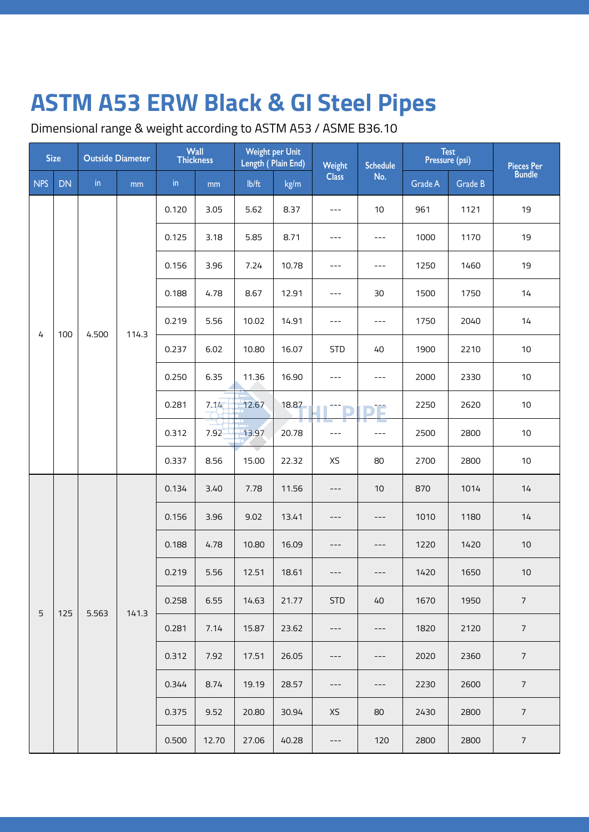Dimensional range & weight according to ASTM A53 / ASME B36.10

| <b>Size</b> |           | <b>Outside Diameter</b> |       | <b>Wall</b><br><b>Thickness</b> |       | <b>Weight per Unit</b><br>Length (Plain End) |       | Weight       | <b>Schedule</b> | <b>Test</b><br>Pressure (psi) |         | Pieces Per<br>Bundle |
|-------------|-----------|-------------------------|-------|---------------------------------|-------|----------------------------------------------|-------|--------------|-----------------|-------------------------------|---------|----------------------|
| <b>NPS</b>  | <b>DN</b> | $\mathsf{in}$           | mm    | $\mathsf{in}$                   | mm    | $I\rightarrow I$                             | kg/m  | <b>Class</b> | No.             | Grade A                       | Grade B |                      |
|             |           |                         |       | 0.120                           | 3.05  | 5.62                                         | 8.37  | $---$        | 10              | 961                           | 1121    | 19                   |
|             |           |                         |       | 0.125                           | 3.18  | 5.85                                         | 8.71  | $---$        | $---$           | 1000                          | 1170    | 19                   |
|             |           |                         |       | 0.156                           | 3.96  | 7.24                                         | 10.78 | $---$        | $---$           | 1250                          | 1460    | 19                   |
|             |           |                         |       | 0.188                           | 4.78  | 8.67                                         | 12.91 | $---$        | 30              | 1500                          | 1750    | 14                   |
| 4           | 100       | 4.500                   | 114.3 | 0.219                           | 5.56  | 10.02                                        | 14.91 | $---$        | $---$           | 1750                          | 2040    | 14                   |
|             |           |                         |       | 0.237                           | 6.02  | 10.80                                        | 16.07 | <b>STD</b>   | 40              | 1900                          | 2210    | $10$                 |
|             |           |                         |       | 0.250                           | 6.35  | 11.36                                        | 16.90 | $---$        | $---$           | 2000                          | 2330    | $10\,$               |
|             |           |                         |       | 0.281                           | 7.14  | 12.67                                        | 18.87 |              | т               | 2250                          | 2620    | 10                   |
|             |           |                         |       | 0.312                           | 7.92  | 13.97                                        | 20.78 | $---$        | $---$           | 2500                          | 2800    | 10                   |
|             |           |                         |       | 0.337                           | 8.56  | 15.00                                        | 22.32 | XS           | 80              | 2700                          | 2800    | 10                   |
|             |           | 5.563                   |       | 0.134                           | 3.40  | 7.78                                         | 11.56 | $---$        | $10$            | 870                           | 1014    | 14                   |
|             |           |                         |       | 0.156                           | 3.96  | 9.02                                         | 13.41 | ---          | $---$           | 1010                          | 1180    | 14                   |
|             |           |                         |       | 0.188                           | 4.78  | 10.80                                        | 16.09 | ---          | $---$           | 1220                          | 1420    | $10$                 |
|             |           |                         |       | 0.219                           | 5.56  | 12.51                                        | 18.61 | $---$        | ---             | 1420                          | 1650    | 10                   |
| 5           | 125       |                         | 141.3 | 0.258                           | 6.55  | 14.63                                        | 21.77 | <b>STD</b>   | 40              | 1670                          | 1950    | $\overline{7}$       |
|             |           |                         |       | 0.281                           | 7.14  | 15.87                                        | 23.62 | $---$        | $---$           | 1820                          | 2120    | $\overline{7}$       |
|             |           |                         |       | 0.312                           | 7.92  | 17.51                                        | 26.05 | ---          | ---             | 2020                          | 2360    | $7\overline{ }$      |
|             |           |                         |       | 0.344                           | 8.74  | 19.19                                        | 28.57 | $---$        | $---$           | 2230                          | 2600    | $\overline{7}$       |
|             |           |                         |       | 0.375                           | 9.52  | 20.80                                        | 30.94 | XS           | 80              | 2430                          | 2800    | $7\overline{ }$      |
|             |           |                         |       | 0.500                           | 12.70 | 27.06                                        | 40.28 | $---$        | 120             | 2800                          | 2800    | $\overline{7}$       |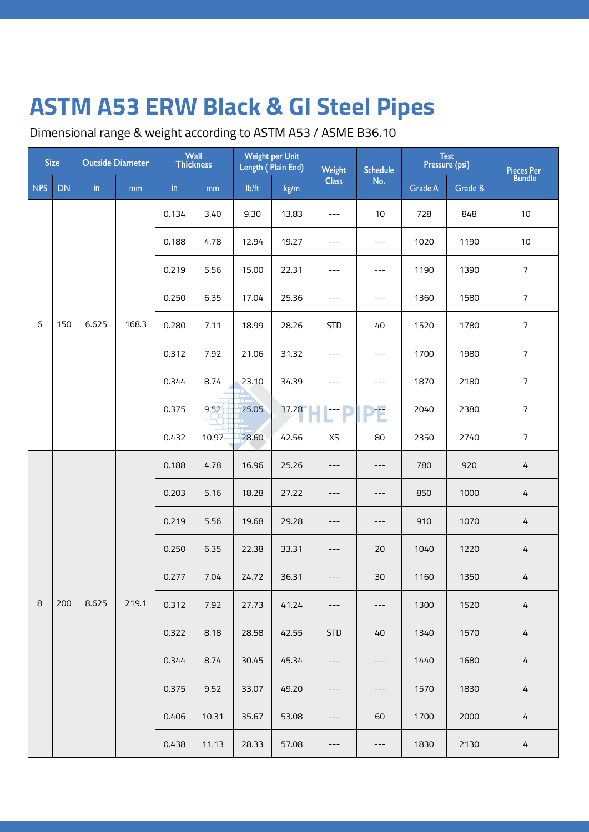Dimensional range & weight according to ASTM A53 / ASME B36.10

| <b>Size</b> |           | <b>Outside Diameter</b> |       | Wall<br>Thickness |           | Weight per Unit<br>Length (Plain End) |       | Weight       | <b>Schedule</b>     | Test<br>Pressure (psi) |         | Pieces Per<br>Bundle |
|-------------|-----------|-------------------------|-------|-------------------|-----------|---------------------------------------|-------|--------------|---------------------|------------------------|---------|----------------------|
| <b>NPS</b>  | <b>DN</b> | in                      | mm    | in                | mm        | lb/ft                                 | kg/m  | <b>Class</b> | No.                 | Grade A                | Grade B |                      |
|             |           |                         |       | 0.134             | 3.40      | 9.30                                  | 13.83 | $---$        | 10                  | 728                    | 848     | 10                   |
|             |           |                         |       | 0.188             | 4.78      | 12.94                                 | 19.27 | $---$        | $---$               | 1020                   | 1190    | 10                   |
|             |           |                         |       | 0.219             | 5.56      | 15.00                                 | 22.31 | $---$        | $---$               | 1190                   | 1390    | $\overline{7}$       |
|             |           |                         |       | 0.250             | 6.35      | 17.04                                 | 25.36 | $---$        | $---$               | 1360                   | 1580    | $\overline{7}$       |
| 6           | 150       | 6.625                   | 168.3 | 0.280             | 7.11      | 18.99                                 | 28.26 | <b>STD</b>   | 40                  | 1520                   | 1780    | $\overline{7}$       |
|             |           |                         |       | 0.312             | 7.92      | 21.06                                 | 31.32 | $---$        | $---$               | 1700                   | 1980    | $\overline{7}$       |
|             |           |                         |       | 0.344             | 8.74      | 23.10                                 | 34.39 | $---$        | $---$               | 1870                   | 2180    | $\overline{7}$       |
|             |           |                         |       | 0.375             | 9.52      | 25.05                                 | 37.28 | ---          | ÷                   | 2040                   | 2380    | $\overline{7}$       |
|             |           |                         |       | 0.432             | $10.97 -$ | 28.60                                 | 42.56 | XS           | 80                  | 2350                   | 2740    | $\overline{7}$       |
|             |           |                         | 219.1 | 0.188             | 4.78      | 16.96                                 | 25.26 | ---          | $---$               | 780                    | 920     | $\overline{4}$       |
|             |           | 8.625                   |       | 0.203             | 5.16      | 18.28                                 | 27.22 | ---          | $---$               | 850                    | 1000    | 4                    |
|             |           |                         |       | 0.219             | 5.56      | 19.68                                 | 29.28 | ---          | $---$               | 910                    | 1070    | 4                    |
|             |           |                         |       | 0.250             | 6.35      | 22.38                                 | 33.31 | $---$        | 20                  | 1040                   | 1220    | $\overline{4}$       |
|             |           |                         |       | 0.277             | 7.04      | 24.72                                 | 36.31 | ---          | 30                  | 1160                   | 1350    | 4                    |
| 8           | 200       |                         |       | 0.312             | 7.92      | 27.73                                 | 41.24 | $---$        | $---$               | 1300                   | 1520    | 4                    |
|             |           |                         |       | 0.322             | 8.18      | 28.58                                 | 42.55 | <b>STD</b>   | 40                  | 1340                   | 1570    | 4                    |
|             |           |                         |       | 0.344             | 8.74      | 30.45                                 | 45.34 | $---$        | $---$               | 1440                   | 1680    | $\overline{4}$       |
|             |           |                         |       | 0.375             | 9.52      | 33.07                                 | 49.20 | ---          | $\qquad \qquad - -$ | 1570                   | 1830    | 4                    |
|             |           |                         |       | 0.406             | 10.31     | 35.67                                 | 53.08 | $---$        | 60                  | 1700                   | 2000    | 4                    |
|             |           |                         |       | 0.438             | 11.13     | 28.33                                 | 57.08 | ---          | $---$               | 1830                   | 2130    | 4                    |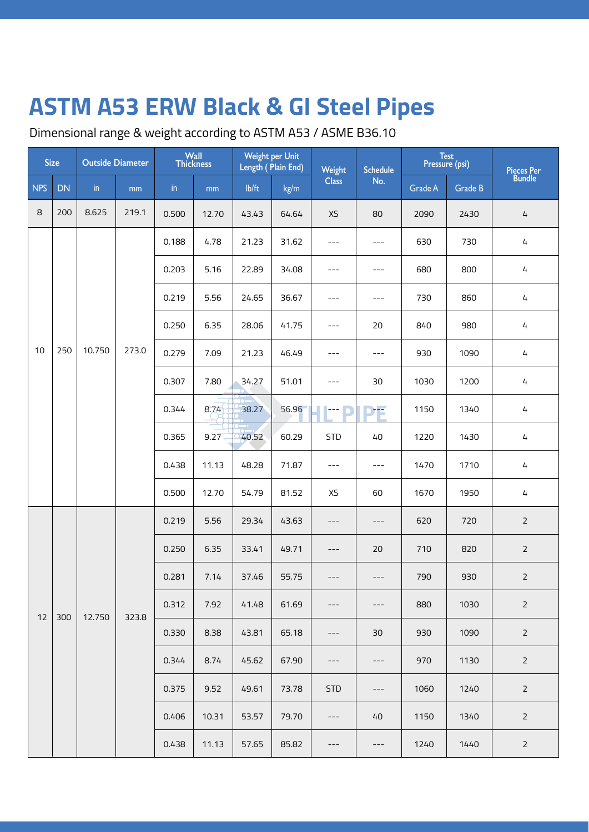Dimensional range & weight according to ASTM A53 / ASME B36.10

| <b>Size</b> |           | <b>Outside Diameter</b> |       | Wall<br>Thickness    |               | <b>Weight per Unit</b><br>Length (Plain End) |       | Weight       | <b>Schedule</b> | Test<br>Pressure (psi) |         | Pieces Per<br>Bundle |
|-------------|-----------|-------------------------|-------|----------------------|---------------|----------------------------------------------|-------|--------------|-----------------|------------------------|---------|----------------------|
| <b>NPS</b>  | <b>DN</b> | in                      | mm    | $\mathop{\text{in}}$ | $\mathsf{mm}$ | lb/ft                                        | kg/m  | <b>Class</b> | No.             | Grade A                | Grade B |                      |
| 8           | 200       | 8.625                   | 219.1 | 0.500                | 12.70         | 43.43                                        | 64.64 | XS           | 80              | 2090                   | 2430    | 4                    |
|             |           |                         |       | 0.188                | 4.78          | 21.23                                        | 31.62 | $---$        | $---$           | 630                    | 730     | 4                    |
|             |           |                         |       | 0.203                | 5.16          | 22.89                                        | 34.08 | $---$        | $---$           | 680                    | 800     | 4                    |
|             |           |                         |       | 0.219                | 5.56          | 24.65                                        | 36.67 | $---$        | $---$           | 730                    | 860     | 4                    |
|             |           |                         |       | 0.250                | 6.35          | 28.06                                        | 41.75 | $---$        | 20              | 840                    | 980     | $\overline{4}$       |
| 10          | 250       | 10.750                  | 273.0 | 0.279                | 7.09          | 21.23                                        | 46.49 | $---$        | $---$           | 930                    | 1090    | 4                    |
|             |           |                         |       | 0.307                | 7.80          | 34.27                                        | 51.01 | $---$        | 30              | 1030                   | 1200    | 4                    |
|             |           |                         |       | 0.344                | 8,74          | 38.27                                        | 56.96 | ---          | 冲               | 1150                   | 1340    | 4                    |
|             |           |                         |       | 0.365                | 9.27          | 40.52                                        | 60.29 | <b>STD</b>   | 40              | 1220                   | 1430    | 4                    |
|             |           |                         |       | 0.438                | 11.13         | 48.28                                        | 71.87 | $---$        | $---$           | 1470                   | 1710    | 4                    |
|             |           |                         |       | 0.500                | 12.70         | 54.79                                        | 81.52 | XS           | 60              | 1670                   | 1950    | $\sqrt{4}$           |
|             |           |                         |       | 0.219                | 5.56          | 29.34                                        | 43.63 | ---          | $---$           | 620                    | 720     | $\overline{2}$       |
|             |           |                         |       | 0.250                | 6.35          | 33.41                                        | 49.71 | ---          | 20              | 710                    | 820     | $\overline{2}$       |
|             |           |                         |       | 0.281                | 7.14          | 37.46                                        | 55.75 | ---          | $---$           | 790                    | 930     | $\overline{2}$       |
| 12          | 300       | 12.750                  | 323.8 | 0.312                | 7.92          | 41.48                                        | 61.69 | ---          | ---             | 880                    | 1030    | $\overline{2}$       |
|             |           |                         |       | 0.330                | 8.38          | 43.81                                        | 65.18 | $---$        | 30              | 930                    | 1090    | $\overline{2}$       |
|             |           |                         |       | 0.344                | 8.74          | 45.62                                        | 67.90 | ---          | $---$           | 970                    | 1130    | $\overline{2}$       |
|             |           |                         |       | 0.375                | 9.52          | 49.61                                        | 73.78 | <b>STD</b>   | ---             | 1060                   | 1240    | $\overline{2}$       |
|             |           |                         |       | 0.406                | 10.31         | 53.57                                        | 79.70 | $---$        | 40              | 1150                   | 1340    | $\overline{2}$       |
|             |           |                         |       | 0.438                | 11.13         | 57.65                                        | 85.82 | ---          | $---$           | 1240                   | 1440    | $\overline{2}$       |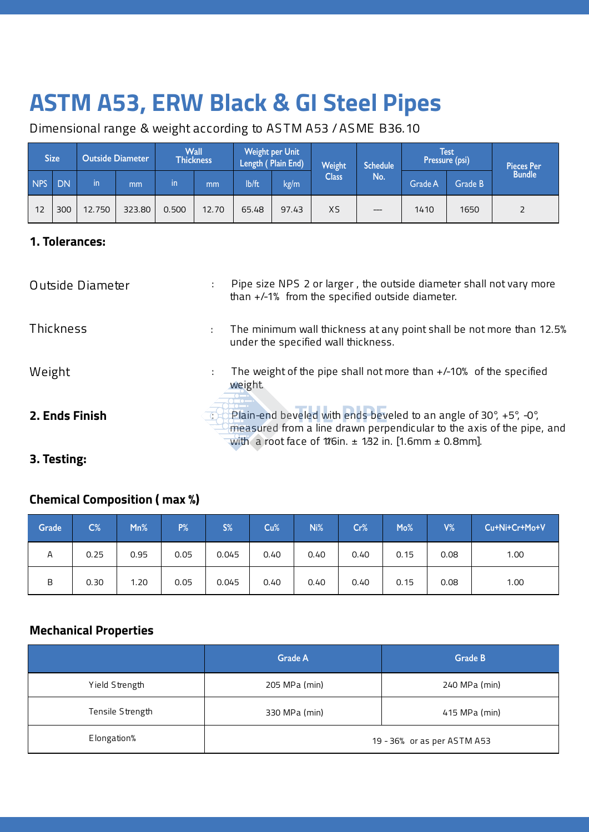Dimensional range & weight according to AS TM A53 / AS ME B36.10

|     | Size <sup>'</sup> |        | <b>Outside Diameter</b> |       | <b>Wall</b><br><b>Thickness</b> | <b>Weight per Unit</b><br>Length (Plain End) |       |              |     | Weight<br><b>Schedule</b> |         | <b>Test</b><br>Pressure (psi) |  | <b>Pieces Per</b> |
|-----|-------------------|--------|-------------------------|-------|---------------------------------|----------------------------------------------|-------|--------------|-----|---------------------------|---------|-------------------------------|--|-------------------|
| NPS | DN                | in     | mm                      | in    | mm                              | lb/ft                                        | kg/m  | <b>Class</b> | No. | Grade A                   | Grade B | <b>Bundle</b>                 |  |                   |
| 12  | 300               | 12.750 | 323.80                  | 0.500 | 12.70                           | 65.48                                        | 97.43 | XS           | --- | 1410                      | 1650    | 2                             |  |                   |

#### **1. Tolerances:**

| Outside Diameter | Pipe size NPS 2 or larger, the outside diameter shall not vary more<br>than +/-1% from the specified outside diameter.                                                                                       |  |
|------------------|--------------------------------------------------------------------------------------------------------------------------------------------------------------------------------------------------------------|--|
| Thickness        | The minimum wall thickness at any point shall be not more than 12.5%<br>under the specified wall thickness.                                                                                                  |  |
| Weight           | The weight of the pipe shall not more than +/-10% of the specified<br>weight.                                                                                                                                |  |
| 2. Ends Finish   | Plain-end beveled with ends beveled to an angle of 30°, +5°, -0°,<br>measured from a line drawn perpendicular to the axis of the pipe, and<br>with a root face of 1/6in. $\pm$ 1/32 in. [1.6mm $\pm$ 0.8mm]. |  |

### **3. Testing:**

### **Chemical Composition ( max %)**

| Grade | $C\%$ | Mn%  | $P\%$ | S%    | Cu%  | Ni%  | Cr%  | Mo%  | $V\%$ | Cu+Ni+Cr+Mo+V |
|-------|-------|------|-------|-------|------|------|------|------|-------|---------------|
| Α     | 0.25  | 0.95 | 0.05  | 0.045 | 0.40 | 0.40 | 0.40 | 0.15 | 0.08  | 1.00          |
| B     | 0.30  | 1.20 | 0.05  | 0.045 | 0.40 | 0.40 | 0.40 | 0.15 | 0.08  | 1.00          |

### **Mechanical Properties**

|                  | <b>Grade A</b>                 | Grade B                     |  |  |  |  |
|------------------|--------------------------------|-----------------------------|--|--|--|--|
| Yield Strength   | 205 MPa (min)                  | 240 MPa (min)               |  |  |  |  |
| Tensile Strength | 330 MPa (min)<br>415 MPa (min) |                             |  |  |  |  |
| Elongation%      |                                | 19 - 36% or as per ASTM A53 |  |  |  |  |